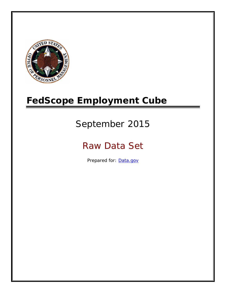

# **FedScope Employment Cube**

# September 2015

# Raw Data Set

Prepared for: [Data.gov](http://www.data.gov/)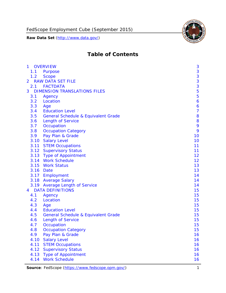

# **Table of Contents**

| $\mathbf{1}$ | <b>OVERVIEW</b>                                | 3              |
|--------------|------------------------------------------------|----------------|
| 1.1          | Purpose                                        | 3              |
| 1.2          | <b>Scope</b>                                   | 3              |
| 2            | <b>RAW DATA SET FILE</b>                       | 3              |
| 2.1          | <b>FACTDATA</b>                                | 3              |
| 3            | <b>DIMENSION TRANSLATIONS FILES</b>            | 5              |
| 3.1          | Agency                                         | 5              |
| 3.2          | Location                                       | 6              |
| 3.3          | Age                                            | 6              |
| 3.4          | <b>Education Level</b>                         | $\overline{7}$ |
| 3.5          | <b>General Schedule &amp; Equivalent Grade</b> | 8              |
| 3.6          | <b>Length of Service</b>                       | 8              |
| 3.7          | Occupation                                     | 9              |
| 3.8          | <b>Occupation Category</b>                     | 9              |
| 3.9          | Pay Plan & Grade                               | 10             |
| 3.10         | <b>Salary Level</b>                            | 10             |
|              | 3.11 STEM Occupations                          | 11             |
|              | 3.12 Supervisory Status                        | 11             |
|              | 3.13 Type of Appointment                       | 12             |
|              | 3.14 Work Schedule                             | 12             |
| 3.15         | <b>Work Status</b>                             | 13             |
|              | 3.16 Date                                      | 13             |
|              | 3.17 Employment                                | 14             |
|              | 3.18 Average Salary                            | 14             |
|              | 3.19 Average Length of Service                 | 14             |
| 4            | <b>DATA DEFINITIONS</b>                        | 15             |
| 4.1          | Agency                                         | 15             |
| 4.2          | Location                                       | 15             |
| 4.3          | Age                                            | 15             |
| 4.4          | <b>Education Level</b>                         | 15             |
| 4.5          | <b>General Schedule &amp; Equivalent Grade</b> | 15             |
| 4.6          | <b>Length of Service</b>                       | 15             |
| 4.7          | Occupation                                     | 15             |
| 4.8          | <b>Occupation Category</b>                     | 15             |
| 4.9          | Pay Plan & Grade                               | 16             |
| 4.10         | <b>Salary Level</b>                            | 16             |
| 4.11         | <b>STEM Occupations</b>                        | 16             |
| 4.12         | <b>Supervisory Status</b>                      | 16             |
| 4.13         | <b>Type of Appointment</b>                     | 16             |
| 4.14         | <b>Work Schedule</b>                           | 16             |

Source: FedScope (https://www.fedscope.opm.gov/) 1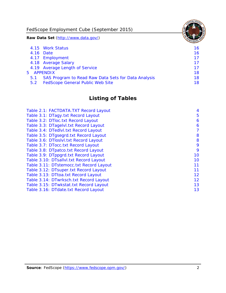FedScope Employment Cube (September 2015)

**Raw Data Set** (http://www.data.gov/)

|               | 4.15 Work Status                                    | 16 |
|---------------|-----------------------------------------------------|----|
|               | 4.16 Date                                           | 16 |
|               | 4.17 Employment                                     | 17 |
|               | 4.18 Average Salary                                 | 17 |
|               | 4.19 Average Length of Service                      | 17 |
|               | 5 APPENDIX                                          | 18 |
| 5.1           | SAS Program to Read Raw Data Sets for Data Analysis | 18 |
| $5.2^{\circ}$ | <b>FedScope General Public Web Site</b>             | 18 |

# **Listing of Tables**

| Table 2.1: FACTDATA.TXT Record Layout   | 4  |
|-----------------------------------------|----|
| Table 3.1: DTagy.txt Record Layout      | 5  |
| Table 3.2: DTloc.txt Record Layout      | 6  |
| Table 3.3: DTagelvl.txt Record Layout   | 6  |
| Table 3.4: DTedlvl.txt Record Layout    | 7  |
| Table 3.5: DTgsegrd.txt Record Layout   | 8  |
| Table 3.6: DTIoslyl.txt Record Layout   | 8  |
| Table 3.7: DTocc.txt Record Layout      | 9  |
| Table 3.8: DTpatco.txt Record Layout    | 9  |
| Table 3.9: DTppgrd.txt Record Layout    | 10 |
| Table 3.10: DTsallvl.txt Record Layout  | 10 |
| Table 3.11: DTstemocc.txt Record Layout | 11 |
| Table 3.12: DTsuper.txt Record Layout   | 11 |
| Table 3.13: DTtoa.txt Record Layout     | 12 |
| Table 3.14: DTwrksch.txt Record Layout  | 12 |
| Table 3.15: DTwkstat.txt Record Layout  | 13 |
| Table 3.16: DTdate.txt Record Layout    | 13 |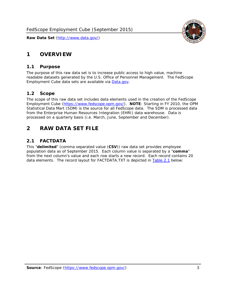# <span id="page-3-0"></span>**1 OVERVIEW**

#### *1.1 Purpose*

<span id="page-3-1"></span>The purpose of this raw data set is to increase public access to high value, machine readable datasets generated by the U.S. Office of Personnel Management. The FedScope Employment Cube data sets are available via [Data.gov](http://www.data.gov/).

## <span id="page-3-2"></span>*1.2 Scope*

The scope of this raw data set includes data elements used in the creation of the FedScope Employment Cube [\(https://www.fedscope.opm.gov/\)](https://www.fedscope.opm.gov/). **NOTE**: Starting in FY 2010, the OPM Statistical Data Mart (SDM) is the source for all FedScope data. The SDM is processed data from the Enterprise Human Resources Integration (EHRI) data warehouse. Data is processed on a quarterly basis (i.e. March, June, September and December).

# <span id="page-3-3"></span>**2 RAW DATA SET FILE**

## <span id="page-3-4"></span>*2.1 FACTDATA*

This "**delimited**" (comma separated value (**CSV**)) raw data set provides employee population data as of September 2015. Each column value is separated by a "**comma**" from the next column's value and each row starts a new record. Each record contains 20 data elements. The record layout for FACTDATA.TXT is depicted in [Table 2.1](#page-4-1) below:

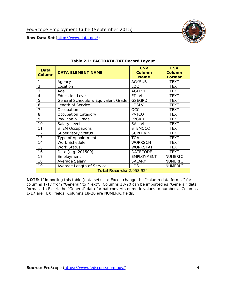<span id="page-4-1"></span><span id="page-4-0"></span>

**NOTE**: If importing this table (data set) into Excel, change the "column data format" for columns 1-17 from "General" to "Text". Columns 18-20 can be imported as "General" data format. In Excel, the "General" data format converts numeric values to numbers. Columns 1-17 are TEXT fields; Columns 18-20 are NUMERIC fields.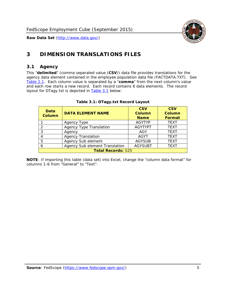

# <span id="page-5-0"></span>**3 DIMENSION TRANSLATIONS FILES**

#### <span id="page-5-1"></span>*3.1 Agency*

<span id="page-5-3"></span><span id="page-5-2"></span>This "**delimited**" (comma separated value (**CSV**)) data file provides translations for the agency data element contained in the employee population data file (FACTDATA.TXT). See [Table 2.1.](#page-4-1) Each column value is separated by a "**comma**" from the next column's value and each row starts a new record. Each record contains 6 data elements. The record layout for DTagy.txt is depicted in **Table 3.1** below:

| Data<br>Column            | <b>DATA ELEMENT NAME</b>       | <b>CSV</b><br><b>Column</b><br><b>Name</b> | <b>CSV</b><br>Column<br><b>Format</b> |
|---------------------------|--------------------------------|--------------------------------------------|---------------------------------------|
|                           | Agency Type                    | <b>AGYTYP</b>                              | <b>TEXT</b>                           |
|                           | <b>Agency Type Translation</b> | <b>AGYTYPT</b>                             | <b>TEXT</b>                           |
|                           | Agency                         | AGY                                        | <b>TEXT</b>                           |
|                           | <b>Agency Translation</b>      | <b>AGYT</b>                                | <b>TEXT</b>                           |
| 5                         | Agency Sub element             | <b>AGYSUB</b>                              | <b>TEXT</b>                           |
|                           | Agency Sub element Translation | <b>AGYSUBT</b>                             | <b>TEXT</b>                           |
| <b>Total Records: 525</b> |                                |                                            |                                       |

#### **Table 3.1: DTagy.txt Record Layout**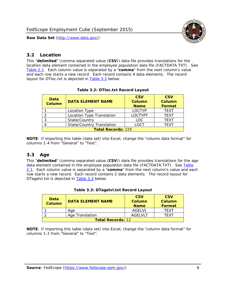

#### <span id="page-6-0"></span>*3.2 Location*

<span id="page-6-4"></span><span id="page-6-2"></span>This "**delimited**" (comma separated value (**CSV**)) data file provides translations for the location data element contained in the employee population data file (FACTDATA.TXT). See [Table 2.1.](#page-4-1) Each column value is separated by a "**comma**" from the next column's value and each row starts a new record. Each record contains 4 data elements. The record layout for DTloc.txt is depicted in [Table 3.2](#page-6-4) below:

| Data<br><b>Column</b>     | <b>DATA ELEMENT NAME</b>         | <b>CSV</b><br>Column<br><b>Name</b> | <b>CSV</b><br><b>Column</b><br><b>Format</b> |
|---------------------------|----------------------------------|-------------------------------------|----------------------------------------------|
|                           | Location Type                    | <b>LOCTYP</b>                       | <b>TEXT</b>                                  |
|                           | Location Type Translation        | <b>LOCTYPT</b>                      | <b>TEXT</b>                                  |
| ົ                         | State/Country                    | <b>LOC</b>                          | <b>TFXT</b>                                  |
|                           | <b>State/Country Translation</b> | LOCT                                | <b>TFXT</b>                                  |
| <b>Total Records: 225</b> |                                  |                                     |                                              |

#### **Table 3.2: DTloc.txt Record Layout**

**NOTE**: If importing this table (data set) into Excel, change the "column data format" for columns 1-4 from "General" to "Text".

#### <span id="page-6-1"></span>*3.3 Age*

<span id="page-6-5"></span><span id="page-6-3"></span>This "**delimited**" (comma separated value (**CSV**)) data file provides translations for the age data element contained in the employee population data file (FACTDATA.TXT). See [Table](#page-4-1) [2.1](#page-4-1). Each column value is separated by a "**comma**" from the next column's value and each row starts a new record. Each record contains 2 data elements. The record layout for DTagelvl.txt is depicted in **[Table 3.3](#page-6-5)** below:

| Data<br><b>Column</b>    | <b>DATA ELEMENT NAME</b> | <b>CSV</b><br>Column<br><b>Name</b> | <b>CSV</b><br>Column<br>Format |
|--------------------------|--------------------------|-------------------------------------|--------------------------------|
|                          | Aae                      | AGFI VI                             | TFXT                           |
|                          | Age Translation          | AGFI VI T                           | TFXT                           |
| <b>Total Records: 12</b> |                          |                                     |                                |

#### **Table 3.3: DTagelvl.txt Record Layout**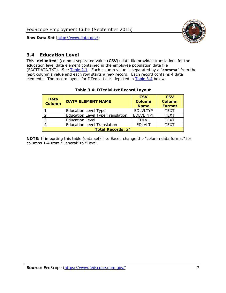

#### <span id="page-7-0"></span>*3.4 Education Level*

<span id="page-7-2"></span><span id="page-7-1"></span>This "**delimited**" (comma separated value (**CSV**)) data file provides translations for the education level data element contained in the employee population data file (FACTDATA.TXT). See [Table 2.1](#page-4-1). Each column value is separated by a "**comma**" from the next column's value and each row starts a new record. Each record contains 4 data elements. The record layout for DTedlvl.txt is depicted in [Table 3.4](#page-7-2) below:

| Data<br><b>Column</b>    | <b>DATA ELEMENT NAME</b>           | <b>CSV</b><br><b>Column</b><br><b>Name</b> | <b>CSV</b><br><b>Column</b><br><b>Format</b> |
|--------------------------|------------------------------------|--------------------------------------------|----------------------------------------------|
|                          | <b>Education Level Type</b>        | <b>EDLVLTYP</b>                            | <b>TEXT</b>                                  |
|                          | Education Level Type Translation   | <b>EDLVLTYPT</b>                           | <b>TEXT</b>                                  |
|                          | <b>Education Level</b>             | <b>EDLVL</b>                               | <b>TEXT</b>                                  |
|                          | <b>Education Level Translation</b> | <b>EDLVLT</b>                              | <b>TEXT</b>                                  |
| <b>Total Records: 24</b> |                                    |                                            |                                              |

#### **Table 3.4: DTedlvl.txt Record Layout**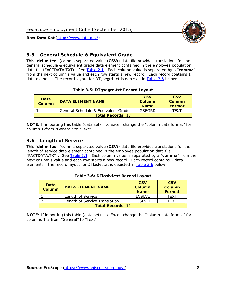

#### <span id="page-8-0"></span>*3.5 General Schedule & Equivalent Grade*

This "**delimited**" (comma separated value (**CSV**)) data file provides translations for the general schedule & equivalent grade data element contained in the employee population data file (FACTDATA.TXT). See [Table 2.1](#page-4-1). Each column value is separated by a "**comma**" from the next column's value and each row starts a new record. Each record contains 1 data element. The record layout for DTgsegrd.txt is depicted in [Table 3.5](#page-8-4) below:

#### **Table 3.5: DTgsegrd.txt Record Layout**

<span id="page-8-4"></span><span id="page-8-2"></span>

| Data<br>Column           | <b>DATA ELEMENT NAME</b>            | <b>CSV</b><br>Column<br><b>Name</b> | <b>CSV</b><br>Column<br><b>Format</b> |
|--------------------------|-------------------------------------|-------------------------------------|---------------------------------------|
|                          | General Schedule & Equivalent Grade | GSEGRD                              | TFXT                                  |
| <b>Total Records: 17</b> |                                     |                                     |                                       |

**NOTE**: If importing this table (data set) into Excel, change the "column data format" for column 1-from "General" to "Text".

#### <span id="page-8-1"></span>*3.6 Length of Service*

<span id="page-8-5"></span>This "**delimited**" (comma separated value (**CSV**)) data file provides translations for the length of service data element contained in the employee population data file (FACTDATA.TXT). See [Table 2.1](#page-4-1). Each column value is separated by a "**comma**" from the next column's value and each row starts a new record. Each record contains 2 data elements. The record layout for DTloslvl.txt is depicted in [Table 3.6](#page-8-5) below:

<span id="page-8-3"></span>

| <b>Data</b><br>Column    | <b>DATA FI FMFNT NAMF</b>     | <b>CSV</b><br>Column<br><b>Name</b> | <b>CSV</b><br>Column<br>Format |
|--------------------------|-------------------------------|-------------------------------------|--------------------------------|
|                          | Length of Service             | LOSLVL                              | TFXT                           |
|                          | Length of Service Translation | LOSI VLT                            | TFXT                           |
| <b>Total Records: 11</b> |                               |                                     |                                |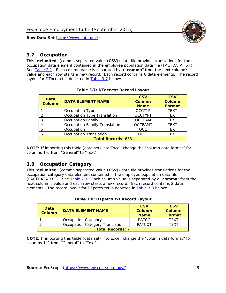

#### <span id="page-9-0"></span>*3.7 Occupation*

<span id="page-9-4"></span>This "**delimited**" (comma separated value (**CSV**)) data file provides translations for the occupation data element contained in the employee population data file (FACTDATA.TXT). See [Table 2.1](#page-4-1). Each column value is separated by a "**comma**" from the next column's value and each row starts a new record. Each record contains 6 data elements. The record layout for DTocc.txt is depicted in [Table 3.7](#page-9-4) below:

<span id="page-9-2"></span>

| Data<br><b>Column</b>     | <b>DATA ELEMENT NAME</b>             | <b>CSV</b><br>Column<br><b>Name</b> | <b>CSV</b><br>Column<br><b>Format</b> |
|---------------------------|--------------------------------------|-------------------------------------|---------------------------------------|
|                           | Occupation Type                      | <b>OCCTYP</b>                       | <b>TEXT</b>                           |
|                           | Occupation Type Translation          | <b>OCCTYPT</b>                      | <b>TEXT</b>                           |
| 2                         | <b>Occupation Family</b>             | <b>OCCFAM</b>                       | <b>TEXT</b>                           |
|                           | <b>Occupation Family Translation</b> | <b>OCCFAMT</b>                      | <b>TEXT</b>                           |
| 5                         | Occupation                           | <b>OCC</b>                          | <b>TEXT</b>                           |
|                           | <b>Occupation Translation</b>        | <b>OCCT</b>                         | <b>TEXT</b>                           |
| <b>Total Records: 683</b> |                                      |                                     |                                       |

#### **Table 3.7: DTocc.txt Record Layout**

**NOTE**: If importing this table (data set) into Excel, change the "column data format" for columns 1-6 from "General" to "Text".

#### <span id="page-9-1"></span>*3.8 Occupation Category*

<span id="page-9-5"></span>This "**delimited**" (comma separated value (**CSV**)) data file provides translations for the occupation category data element contained in the employee population data file (FACTDATA.TXT). See [Table 2.1](#page-4-1). Each column value is separated by a "**comma**" from the next column's value and each row starts a new record. Each record contains 2 data elements. The record layout for DTpatco.txt is depicted in [Table 3.8](#page-9-5) below:

<span id="page-9-3"></span>

| Data<br><b>Column</b>   | <b>DATA ELEMENT NAME</b>        | <b>CSV</b><br>Column<br><b>Name</b> | <b>CSV</b><br>Column<br>Format |
|-------------------------|---------------------------------|-------------------------------------|--------------------------------|
|                         | <b>Occupation Category</b>      | <b>PATCO</b>                        | <b>TFXT</b>                    |
|                         | Occupation Category Translation | <b>PATCOT</b>                       | TFXT                           |
| <b>Total Records: 7</b> |                                 |                                     |                                |

| Table 3.8: DTpatco.txt Record Layout |  |
|--------------------------------------|--|
|--------------------------------------|--|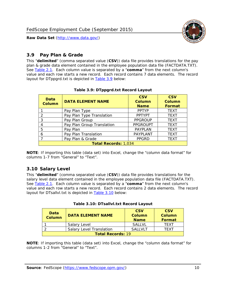

#### <span id="page-10-0"></span>*3.9 Pay Plan & Grade*

<span id="page-10-4"></span>This "**delimited**" (comma separated value (**CSV**)) data file provides translations for the pay plan & grade data element contained in the employee population data file (FACTDATA.TXT). See [Table 2.1](#page-4-1). Each column value is separated by a "**comma**" from the next column's value and each row starts a new record. Each record contains 7 data elements. The record layout for DTppgrd.txt is depicted in **Table 3.9** below:

<span id="page-10-2"></span>

| Data<br>Column | <b>DATA ELEMENT NAME</b>    | <b>CSV</b><br>Column<br><b>Name</b> | <b>CSV</b><br>Column<br><b>Format</b> |  |  |
|----------------|-----------------------------|-------------------------------------|---------------------------------------|--|--|
|                | Pay Plan Type               | <b>PPTYP</b>                        | <b>TEXT</b>                           |  |  |
| $\mathcal{P}$  | Pay Plan Type Translation   | <b>PPTYPT</b>                       | <b>TEXT</b>                           |  |  |
| 3              | Pay Plan Group              | <b>PPGROUP</b>                      | <b>TEXT</b>                           |  |  |
|                | Pay Plan Group Translation  | <b>PPGROUPT</b>                     | <b>TEXT</b>                           |  |  |
| 5              | Pay Plan                    | <b>PAYPLAN</b>                      | <b>TEXT</b>                           |  |  |
| 6              | Pay Plan Translation        | PAYPLANT                            | <b>TEXT</b>                           |  |  |
|                | Pay Plan & Grade            | <b>PPGRD</b>                        | <b>TEXT</b>                           |  |  |
|                | <b>Total Records: 1,034</b> |                                     |                                       |  |  |

#### **Table 3.9: DTppgrd.txt Record Layout**

**NOTE**: If importing this table (data set) into Excel, change the "column data format" for columns 1-7 from "General" to "Text".

## <span id="page-10-1"></span>*3.10 Salary Level*

<span id="page-10-5"></span><span id="page-10-3"></span>This "**delimited**" (comma separated value (**CSV**)) data file provides translations for the salary level data element contained in the employee population data file (FACTDATA.TXT). See [Table 2.1](#page-4-1). Each column value is separated by a "**comma**" from the next column's value and each row starts a new record. Each record contains 2 data elements. The record layout for DTsallvl.txt is depicted in [Table 3.10](#page-10-5) below:

| <b>Data</b><br><b>Column</b> | <b>DATA ELEMENT NAME</b>        | <b>CSV</b><br>Column<br><b>Name</b> | <b>CSV</b><br>Column<br><b>Format</b> |
|------------------------------|---------------------------------|-------------------------------------|---------------------------------------|
|                              | Salary Level                    | <b>SALLVL</b>                       | TFXT                                  |
|                              | <b>Salary Level Translation</b> | SAI I VI T                          | TEXT                                  |
| <b>Total Records: 19</b>     |                                 |                                     |                                       |

| Table 3.10: DTsallvl.txt Record Layout |  |
|----------------------------------------|--|
|----------------------------------------|--|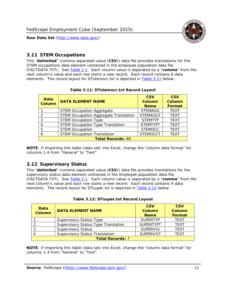

#### <span id="page-11-0"></span>*3.11 STEM Occupations*

<span id="page-11-4"></span>This "**delimited**" (comma separated value (**CSV**)) data file provides translations for the STEM occupations data element contained in the employee population data file (FACTDATA.TXT). See [Table 2.1](#page-4-1). Each column value is separated by a "**comma**" from the next column's value and each row starts a new record. Each record contains 6 data elements. The record layout for DTstemocc.txt is depicted in [Table 3.11](#page-11-4) below:

<span id="page-11-2"></span>

| <b>Data</b><br><b>Column</b> | <b>DATA ELEMENT NAME</b>                     | <b>CSV</b><br>Column<br><b>Name</b> | <b>CSV</b><br><b>Column</b><br><b>Format</b> |  |  |
|------------------------------|----------------------------------------------|-------------------------------------|----------------------------------------------|--|--|
|                              | <b>STEM Occupation Aggregate</b>             | <b>STEMAGG</b>                      | <b>TEXT</b>                                  |  |  |
|                              | <b>STEM Occupation Aggregate Translation</b> | <b>STEMAGGT</b>                     | <b>TEXT</b>                                  |  |  |
| 3                            | <b>STEM Occupation Type</b>                  | <b>STEMTYP</b>                      | <b>TEXT</b>                                  |  |  |
|                              | <b>STEM Occupation Type Translation</b>      | <b>STEMTYPT</b>                     | <b>TEXT</b>                                  |  |  |
| 5                            | <b>STEM Occupation</b>                       | <b>STEMOCC</b>                      | <b>TEXT</b>                                  |  |  |
|                              | <b>STEM Occupation Translation</b>           | <b>STEMOCCT</b>                     | <b>TEXT</b>                                  |  |  |
|                              | <b>Total Records: 69</b>                     |                                     |                                              |  |  |

#### **Table 3.11: DTstemocc.txt Record Layout**

**NOTE**: If importing this table (data set) into Excel, change the "column data format" for columns 1-6 from "General" to "Text".

## <span id="page-11-1"></span>*3.12 Supervisory Status*

This "**delimited**" (comma separated value (**CSV**)) data file provides translations for the supervisory status data element contained in the employee population data file (FACTDATA.TXT). See [Table 2.1](#page-4-1). Each column value is separated by a "**comma**" from the next column's value and each row starts a new record. Each record contains 4 data elements. The record layout for DTsuper.txt is depicted in [Table 3.12](#page-11-5) below:

<span id="page-11-5"></span><span id="page-11-3"></span>

| Data<br><b>Column</b>   | <b>DATA ELEMENT NAME</b>              | <b>CSV</b><br>Column<br><b>Name</b> | <b>CSV</b><br><b>Column</b><br>Format |  |
|-------------------------|---------------------------------------|-------------------------------------|---------------------------------------|--|
|                         | <b>Supervisory Status Type</b>        | <b>SUPFRTYP</b>                     | <b>TEXT</b>                           |  |
|                         | Supervisory Status Type Translation   | <b>SUPERTYPT</b>                    | <b>TEXT</b>                           |  |
|                         | <b>Supervisory Status</b>             | <b>SUPERVIS</b>                     | <b>TEXT</b>                           |  |
|                         | <b>Supervisory Status Translation</b> | <b>SUPERVIST</b>                    | <b>TEXT</b>                           |  |
| <b>Total Records: 7</b> |                                       |                                     |                                       |  |

|  | Table 3.12: DTsuper.txt Record Layout |  |
|--|---------------------------------------|--|
|--|---------------------------------------|--|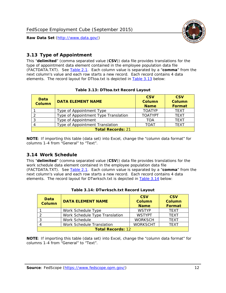

#### <span id="page-12-0"></span>*3.13 Type of Appointment*

This "**delimited**" (comma separated value (**CSV**)) data file provides translations for the type of appointment data element contained in the employee population data file (FACTDATA.TXT). See [Table 2.1](#page-4-1). Each column value is separated by a "**comma**" from the next column's value and each row starts a new record. Each record contains 4 data elements. The record layout for DTtoa.txt is depicted in [Table 3.13](#page-12-4) below:

<span id="page-12-4"></span><span id="page-12-2"></span>

| Data<br><b>Column</b>    | <b>DATA ELEMENT NAME</b>             | <b>CSV</b><br><b>Column</b><br><b>Name</b> | <b>CSV</b><br><b>Column</b><br><b>Format</b> |  |
|--------------------------|--------------------------------------|--------------------------------------------|----------------------------------------------|--|
|                          | Type of Appointment Type             | <b>TOATYP</b>                              | <b>TFXT</b>                                  |  |
|                          | Type of Appointment Type Translation | <b>TOATYPT</b>                             | <b>TEXT</b>                                  |  |
|                          | Type of Appointment                  | <b>TOA</b>                                 | <b>TEXT</b>                                  |  |
|                          | Type of Appointment Translation      | <b>TOAT</b>                                | <b>TFXT</b>                                  |  |
| <b>Total Records: 21</b> |                                      |                                            |                                              |  |

#### **Table 3.13: DTtoa.txt Record Layout**

**NOTE**: If importing this table (data set) into Excel, change the "column data format" for columns 1-4 from "General" to "Text".

#### <span id="page-12-1"></span>*3.14 Work Schedule*

<span id="page-12-5"></span>This "**delimited**" (comma separated value (**CSV**)) data file provides translations for the work schedule data element contained in the employee population data file (FACTDATA.TXT). See [Table 2.1](#page-4-1). Each column value is separated by a "**comma**" from the next column's value and each row starts a new record. Each record contains 4 data elements. The record layout for DTwrksch.txt is depicted in [Table 3.14](#page-12-5) below:

<span id="page-12-3"></span>

| Data<br>Column           | <b>DATA ELEMENT NAME</b>       | <b>CSV</b><br><b>Column</b><br><b>Name</b> | <b>CSV</b><br>Column<br>Format |
|--------------------------|--------------------------------|--------------------------------------------|--------------------------------|
|                          | Work Schedule Type             | <b>WSTYP</b>                               | <b>TEXT</b>                    |
| 2                        | Work Schedule Type Translation | <b>WSTYPT</b>                              | <b>TFXT</b>                    |
| 3                        | Work Schedule                  | <b>WORKSCH</b>                             | <b>TFXT</b>                    |
|                          | Work Schedule Translation      | <b>WORKSCHT</b>                            | <b>TFXT</b>                    |
| <b>Total Records: 12</b> |                                |                                            |                                |

|  | Table 3.14: DTwrksch.txt Record Layout |  |  |
|--|----------------------------------------|--|--|
|  |                                        |  |  |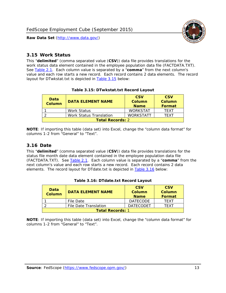

#### <span id="page-13-0"></span>*3.15 Work Status*

<span id="page-13-4"></span><span id="page-13-2"></span>This "**delimited**" (comma separated value (**CSV**)) data file provides translations for the work status data element contained in the employee population data file (FACTDATA.TXT). See [Table 2.1](#page-4-1). Each column value is separated by a "**comma**" from the next column's value and each row starts a new record. Each record contains 2 data elements. The record layout for DTwkstat.txt is depicted in [Table 3.15](#page-13-4) below:

| Data<br><b>Column</b>   | <b>DATA ELEMENT NAME</b> | <b>CSV</b><br>Column<br><b>Name</b> | <b>CSV</b><br>Column<br><b>Format</b> |
|-------------------------|--------------------------|-------------------------------------|---------------------------------------|
|                         | Work Status              | <b>WORKSTAT</b>                     | TFXT                                  |
|                         | Work Status Translation  | <b>WORKSTATT</b>                    | TFXT                                  |
| <b>Total Records: 2</b> |                          |                                     |                                       |

#### **Table 3.15: DTwkstat.txt Record Layout**

**NOTE**: If importing this table (data set) into Excel, change the "column data format" for columns 1-2 from "General" to "Text".

#### <span id="page-13-1"></span>*3.16 Date*

<span id="page-13-5"></span><span id="page-13-3"></span>This "**delimited**" (comma separated value (**CSV**)) data file provides translations for the status file month date data element contained in the employee population data file (FACTDATA.TXT). See [Table 2.1](#page-4-1). Each column value is separated by a "**comma**" from the next column's value and each row starts a new record. Each record contains 2 data elements. The record layout for DTdate.txt is depicted in [Table 3.16](#page-13-5) below:

| Data<br><b>Column</b>   | <b>DATA ELEMENT NAME</b> | <b>CSV</b><br>Column<br><b>Name</b> | <b>CSV</b><br>Column<br><b>Format</b> |
|-------------------------|--------------------------|-------------------------------------|---------------------------------------|
|                         | File Date                | <b>DATECODE</b>                     | TFXT                                  |
|                         | File Date Translation    | <b>DATECODET</b>                    | TFXT                                  |
| <b>Total Records: 1</b> |                          |                                     |                                       |

**Table 3.16: DTdate.txt Record Layout**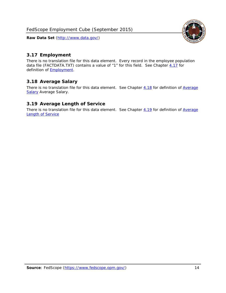

## <span id="page-14-0"></span>*3.17 Employment*

There is no translation file for this data element. Every record in the employee population data file (FACTDATA.TXT) contains a value of "1" for this field. See Chapter [4.17](#page-16-8) for definition of **Employment**.

## <span id="page-14-1"></span>*3.18 Average Salary*

There is no translation file for this data element. See Chapter [4.18](#page-17-1) for definition of [Average](#page-17-1) [Salary](#page-17-1) [Average Salary.](#page-17-1)

#### <span id="page-14-2"></span>*3.19 Average Length of Service*

There is no translation file for this data element. See Chapter [4.19](#page-17-2) for definition of [Average](#page-17-2) Length of Service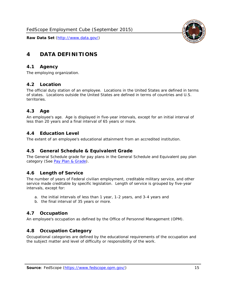

# <span id="page-15-0"></span>**4 DATA DEFINITIONS**

#### <span id="page-15-1"></span>*4.1 Agency*

The employing organization.

#### <span id="page-15-2"></span>*4.2 Location*

The official duty station of an employee. Locations in the United States are defined in terms of states. Locations outside the United States are defined in terms of countries and U.S. territories.

#### <span id="page-15-3"></span>*4.3 Age*

An employee's age. Age is displayed in five-year intervals, except for an initial interval of less than 20 years and a final interval of 65 years or more.

#### <span id="page-15-4"></span>*4.4 Education Level*

The extent of an employee's educational attainment from an accredited institution.

#### <span id="page-15-5"></span>*4.5 General Schedule & Equivalent Grade*

The General Schedule grade for pay plans in the General Schedule and Equivalent pay plan category (See [Pay Plan & Grade](#page-16-0)).

#### <span id="page-15-6"></span>*4.6 Length of Service*

The number of years of Federal civilian employment, creditable military service, and other service made creditable by specific legislation. Length of service is grouped by five-year intervals, except for:

- a. the initial intervals of less than 1 year, 1-2 years, and 3-4 years and
- b. the final interval of 35 years or more.

#### <span id="page-15-7"></span>*4.7 Occupation*

An employee's occupation as defined by the Office of Personnel Management (OPM).

#### <span id="page-15-8"></span>*4.8 Occupation Category*

Occupational categories are defined by the educational requirements of the occupation and the subject matter and level of difficulty or responsibility of the work.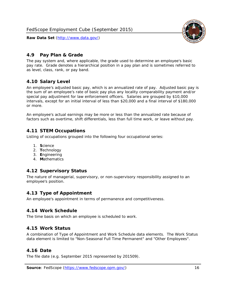<span id="page-16-0"></span>

The pay system and, where applicable, the grade used to determine an employee's basic pay rate. Grade denotes a hierarchical position in a pay plan and is sometimes referred to as level, class, rank, or pay band.

## <span id="page-16-1"></span>*4.10 Salary Level*

An employee's adjusted basic pay, which is an annualized rate of pay. Adjusted basic pay is the sum of an employee's rate of basic pay plus any locality comparability payment and/or special pay adjustment for law enforcement officers. Salaries are grouped by \$10,000 intervals, except for an initial interval of less than \$20,000 and a final interval of \$180,000 or more.

An employee's actual earnings may be more or less than the annualized rate because of factors such as overtime, shift differentials, less than full time work, or leave without pay.

## <span id="page-16-2"></span>*4.11 STEM Occupations*

Listing of occupations grouped into the following four occupational series:

- 1. **S**cience
- 2. **T**echnology
- 3. **E**ngineering
- 4. **M**athematics

#### <span id="page-16-3"></span>*4.12 Supervisory Status*

The nature of managerial, supervisory, or non-supervisory responsibility assigned to an employee's position.

#### <span id="page-16-4"></span>*4.13 Type of Appointment*

An employee's appointment in terms of permanence and competitiveness.

#### <span id="page-16-5"></span>*4.14 Work Schedule*

The time basis on which an employee is scheduled to work.

#### <span id="page-16-6"></span>*4.15 Work Status*

A combination of Type of Appointment and Work Schedule data elements. The Work Status data element is limited to "Non-Seasonal Full Time Permanent" and "Other Employees".

#### <span id="page-16-7"></span>*4.16 Date*

<span id="page-16-8"></span>The file date (e.g. September 2015 represented by 201509).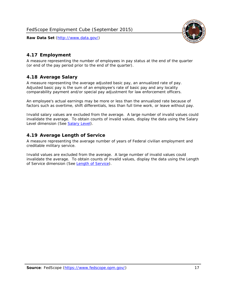

#### <span id="page-17-0"></span>*4.17 Employment*

A measure representing the number of employees in pay status at the end of the quarter (or end of the pay period prior to the end of the quarter).

#### <span id="page-17-1"></span>*4.18 Average Salary*

A measure representing the average adjusted basic pay, an annualized rate of pay. Adjusted basic pay is the sum of an employee's rate of basic pay and any locality comparability payment and/or special pay adjustment for law enforcement officers.

An employee's actual earnings may be more or less than the annualized rate because of factors such as overtime, shift differentials, less than full time work, or leave without pay.

Invalid salary values are excluded from the average. A large number of invalid values could invalidate the average. To obtain counts of invalid values, display the data using the Salary Level dimension (See [Salary Level\)](#page-16-1).

#### <span id="page-17-2"></span>*4.19 Average Length of Service*

A measure representing the average number of years of Federal civilian employment and creditable military service.

Invalid values are excluded from the average. A large number of invalid values could invalidate the average. To obtain counts of invalid values, display the data using the Length of Service dimension (See [Length of Service](#page-15-6)).